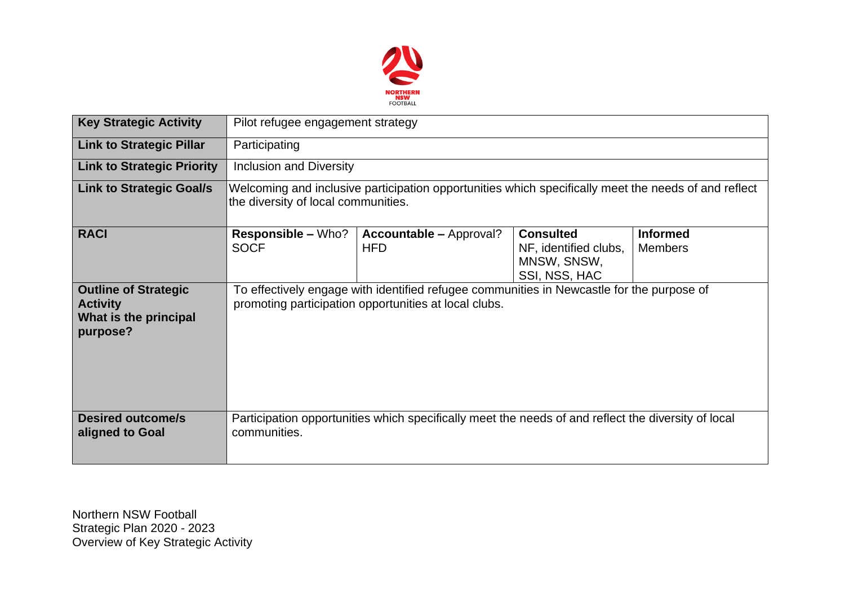

| <b>Key Strategic Activity</b>                                                       | Pilot refugee engagement strategy                                                                                                           |                                                                                                                                                    |                                                                           |                                   |  |  |  |
|-------------------------------------------------------------------------------------|---------------------------------------------------------------------------------------------------------------------------------------------|----------------------------------------------------------------------------------------------------------------------------------------------------|---------------------------------------------------------------------------|-----------------------------------|--|--|--|
| <b>Link to Strategic Pillar</b>                                                     | Participating                                                                                                                               |                                                                                                                                                    |                                                                           |                                   |  |  |  |
| <b>Link to Strategic Priority</b>                                                   | <b>Inclusion and Diversity</b>                                                                                                              |                                                                                                                                                    |                                                                           |                                   |  |  |  |
| <b>Link to Strategic Goal/s</b>                                                     | Welcoming and inclusive participation opportunities which specifically meet the needs of and reflect<br>the diversity of local communities. |                                                                                                                                                    |                                                                           |                                   |  |  |  |
| <b>RACI</b>                                                                         | <b>Responsible – Who?</b><br><b>SOCF</b>                                                                                                    | <b>Accountable – Approval?</b><br><b>HFD</b>                                                                                                       | <b>Consulted</b><br>NF, identified clubs,<br>MNSW, SNSW,<br>SSI, NSS, HAC | <b>Informed</b><br><b>Members</b> |  |  |  |
| <b>Outline of Strategic</b><br><b>Activity</b><br>What is the principal<br>purpose? |                                                                                                                                             | To effectively engage with identified refugee communities in Newcastle for the purpose of<br>promoting participation opportunities at local clubs. |                                                                           |                                   |  |  |  |
| <b>Desired outcome/s</b><br>aligned to Goal                                         | communities.                                                                                                                                | Participation opportunities which specifically meet the needs of and reflect the diversity of local                                                |                                                                           |                                   |  |  |  |

Northern NSW Football Strategic Plan 2020 - 2023 Overview of Key Strategic Activity